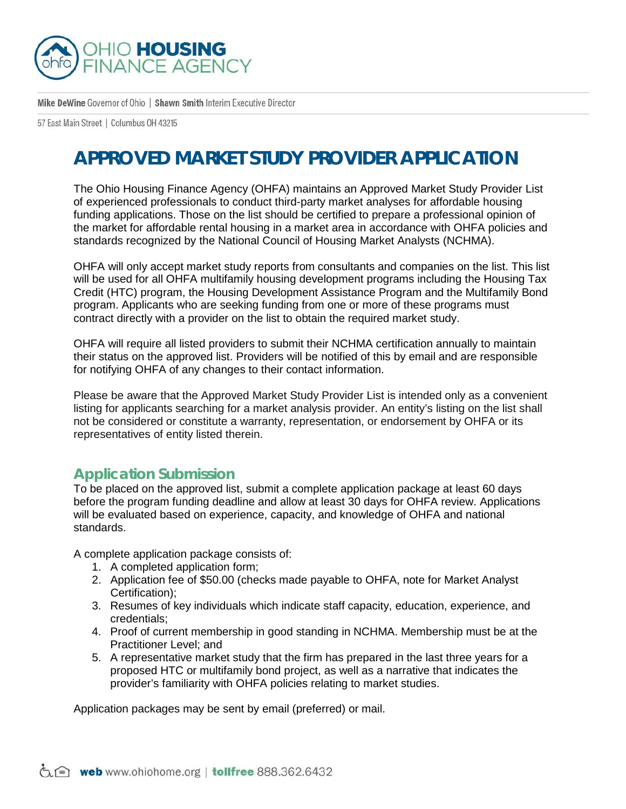

Mike DeWine Governor of Ohio | Shawn Smith Interim Executive Director

57 East Main Street | Columbus 0H 43215

## **APPROVED MARKET STUDY PROVIDER APPLICATION**

The Ohio Housing Finance Agency (OHFA) maintains an Approved Market Study Provider List of experienced professionals to conduct third-party market analyses for affordable housing funding applications. Those on the list should be certified to prepare a professional opinion of the market for affordable rental housing in a market area in accordance with OHFA policies and standards recognized by the National Council of Housing Market Analysts (NCHMA).

OHFA will only accept market study reports from consultants and companies on the list. This list will be used for all OHFA multifamily housing development programs including the Housing Tax Credit (HTC) program, the Housing Development Assistance Program and the Multifamily Bond program. Applicants who are seeking funding from one or more of these programs must contract directly with a provider on the list to obtain the required market study.

OHFA will require all listed providers to submit their NCHMA certification annually to maintain their status on the approved list. Providers will be notified of this by email and are responsible for notifying OHFA of any changes to their contact information.

Please be aware that the Approved Market Study Provider List is intended only as a convenient listing for applicants searching for a market analysis provider. An entity's listing on the list shall not be considered or constitute a warranty, representation, or endorsement by OHFA or its representatives of entity listed therein.

## **Application Submission**

To be placed on the approved list, submit a complete application package at least 60 days before the program funding deadline and allow at least 30 days for OHFA review. Applications will be evaluated based on experience, capacity, and knowledge of OHFA and national standards.

A complete application package consists of:

- 1. A completed application form;
- 2. Application fee of \$50.00 (checks made payable to OHFA, note for Market Analyst Certification);
- 3. Resumes of key individuals which indicate staff capacity, education, experience, and credentials;
- 4. Proof of current membership in good standing in NCHMA. Membership must be at the Practitioner Level; and
- 5. A representative market study that the firm has prepared in the last three years for a proposed HTC or multifamily bond project, as well as a narrative that indicates the provider's familiarity with OHFA policies relating to market studies.

Application packages may be sent by email (preferred) or mail.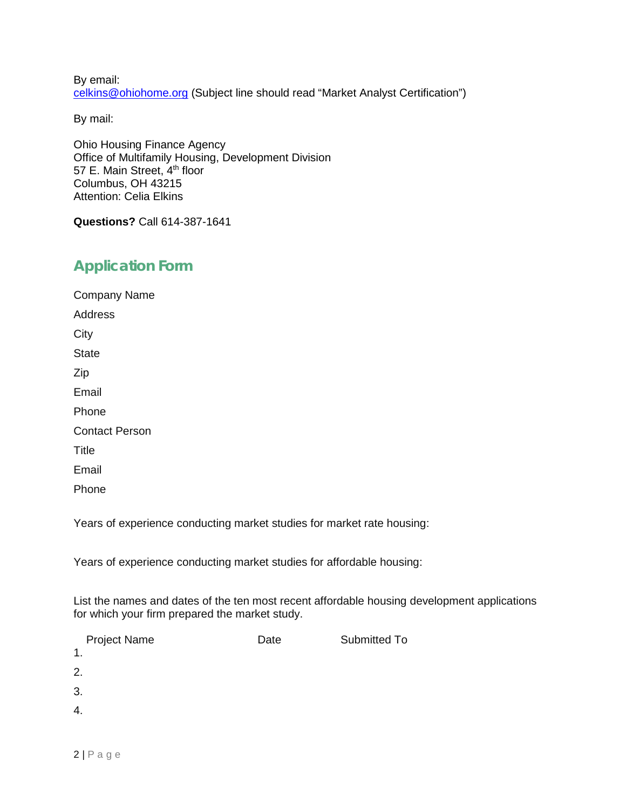By email: celkins@ohiohome.org (Subject line should read "Market Analyst Certification")

By mail:

Ohio Housing Finance Agency Office of Multifamily Housing, Development Division 57 E. Main Street, 4<sup>th</sup> floor Columbus, OH 43215 Attention: Celia Elkins

**Questions?** Call 614-387-1641

## **Application Form**

Company Name Address **City State** Zip Email Phone Contact Person **Title** Email Phone

Years of experience conducting market studies for market rate housing:

Years of experience conducting market studies for affordable housing:

List the names and dates of the ten most recent affordable housing development applications for which your firm prepared the market study.

| <b>Project Name</b> | Date | Submitted To |
|---------------------|------|--------------|
| 1.                  |      |              |
| 2.                  |      |              |
| 3.                  |      |              |
| 4.                  |      |              |
|                     |      |              |